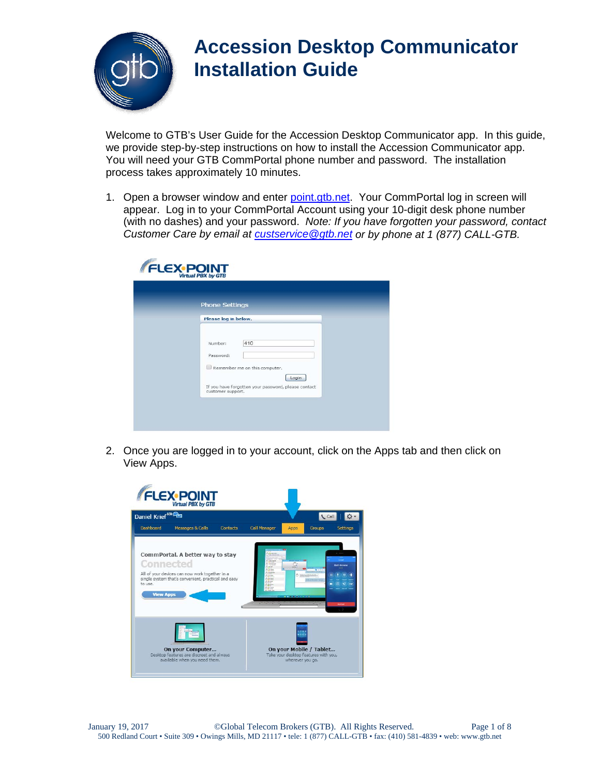

Welcome to GTB's User Guide for the Accession Desktop Communicator app. In this guide, we provide step-by-step instructions on how to install the Accession Communicator app. You will need your GTB CommPortal phone number and password. The installation process takes approximately 10 minutes.

1. Open a browser window and enter [point.gtb.net](http://www.point.gtb.net/). Your CommPortal log in screen will appear. Log in to your CommPortal Account using your 10-digit desk phone number (with no dashes) and your password. *Note: If you have forgotten your password, contact Customer Care by email at [custservice@gtb.net](mailto:custservice@gtb.net) or by phone at 1 (877) CALL-GTB.* 

| <b>Phone Settings</b>                                                                                                                             |
|---------------------------------------------------------------------------------------------------------------------------------------------------|
| Please log in below.                                                                                                                              |
| 410<br>Number:<br>Password:<br>Remember me on this computer.<br>Login<br>If you have forgotten your password, please contact<br>customer support. |

2. Once you are logged in to your account, click on the Apps tab and then click on View Apps.

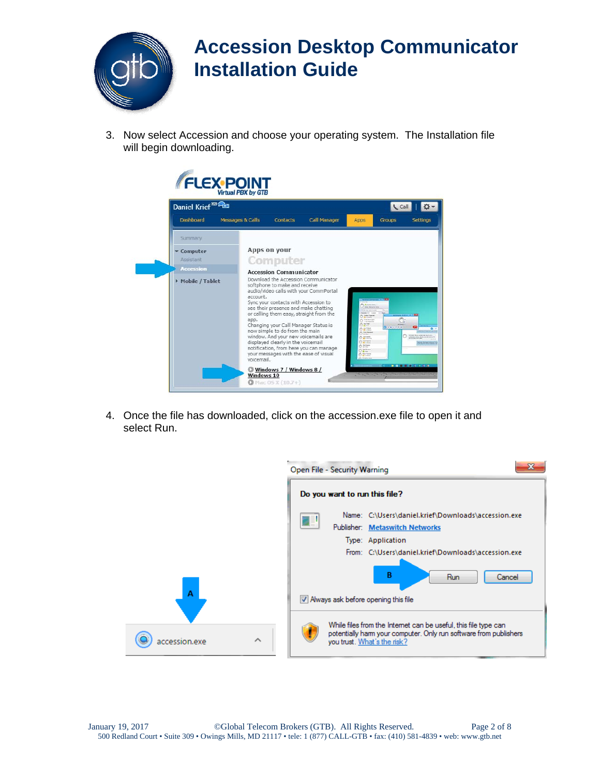

3. Now select Accession and choose your operating system. The Installation file will begin downloading.

| Daniel Krief <sup>80</sup>    |                                                                                                                                                                                                                                                                                                                                                                                                                      |                                                                                                                                                                                                                     | Call                      |
|-------------------------------|----------------------------------------------------------------------------------------------------------------------------------------------------------------------------------------------------------------------------------------------------------------------------------------------------------------------------------------------------------------------------------------------------------------------|---------------------------------------------------------------------------------------------------------------------------------------------------------------------------------------------------------------------|---------------------------|
| Dashboard<br>Messages & Calls | <b>Contacts</b>                                                                                                                                                                                                                                                                                                                                                                                                      | <b>Call Manager</b><br>Apps                                                                                                                                                                                         | <b>Groups</b><br>Settings |
| Summary.                      |                                                                                                                                                                                                                                                                                                                                                                                                                      |                                                                                                                                                                                                                     |                           |
| v Computer                    | Apps on your                                                                                                                                                                                                                                                                                                                                                                                                         |                                                                                                                                                                                                                     |                           |
| Assistant                     | Computer                                                                                                                                                                                                                                                                                                                                                                                                             |                                                                                                                                                                                                                     |                           |
| <b>Accession</b>              | <b>Accession Communicator</b>                                                                                                                                                                                                                                                                                                                                                                                        |                                                                                                                                                                                                                     |                           |
| Mobile / Tablet               | Download the Accession Communicator<br>softphone to make and receive<br>audio/video calls with your CommPortal<br>account.<br>Sync your contacts with Accession to<br>see their presence and make chatting<br>or calling them easy, straight from the<br>app.<br>Changing your Call Manager Status is<br>now simple to do from the main<br>window. And your new voicemails are<br>displayed clearly in the voicemail | <b>S. A seasoners</b><br>Ariz Maria Salar<br>Blown.<br>$O$ for hours<br>$0 - 4$<br>0.1144<br><b>AC INVESTIGATI</b><br>31 Philip<br>0.714<br><b>ALCOHOL</b><br>C Broken<br>$O \frac{3 \pi \tan \theta}{\tan \theta}$ | $\bullet$<br>$O$ and $O$  |

4. Once the file has downloaded, click on the accession.exe file to open it and select Run.

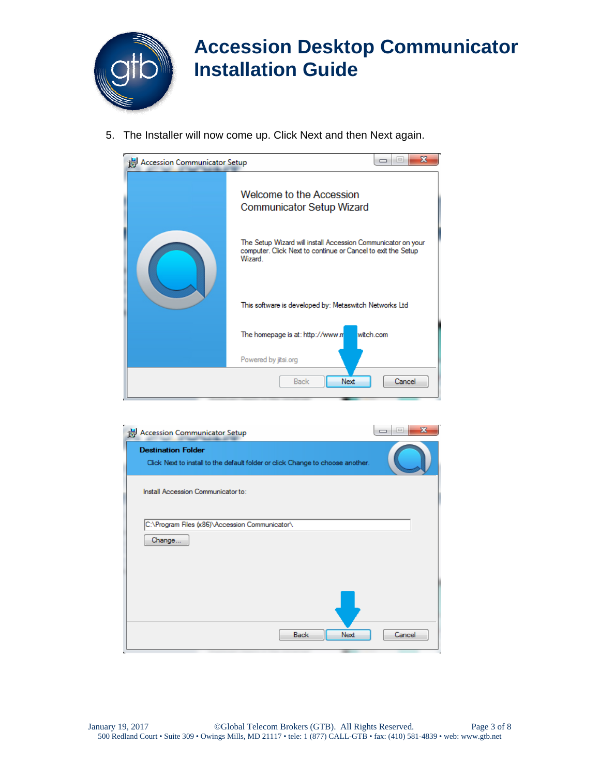

5. The Installer will now come up. Click Next and then Next again.



| Accession Communicator Setup                                                                                | X<br>$\qquad \qquad \Box$ |
|-------------------------------------------------------------------------------------------------------------|---------------------------|
| <b>Destination Folder</b><br>Click Next to install to the default folder or click Change to choose another. |                           |
| Install Accession Communicator to:                                                                          |                           |
| C:\Program Files (x86)\Accession Communicator\<br>Change                                                    |                           |
|                                                                                                             |                           |
|                                                                                                             |                           |
| Next<br><b>Back</b>                                                                                         | Cancel                    |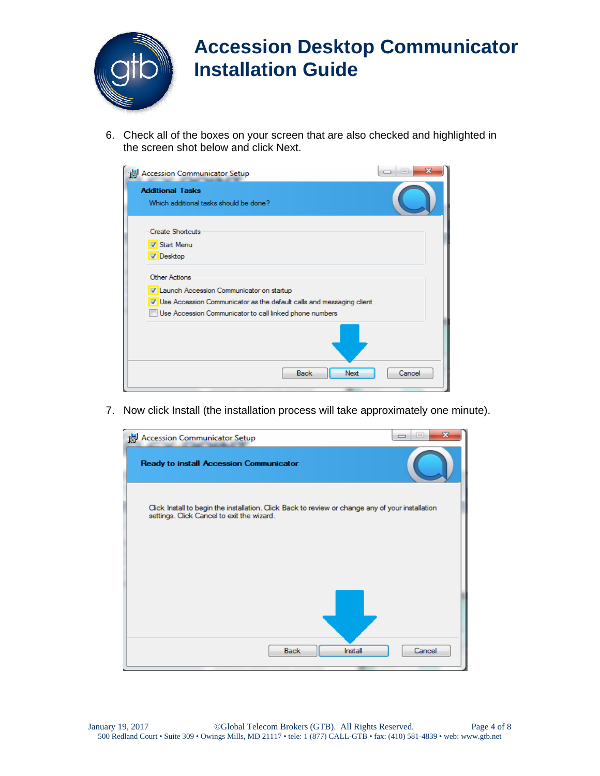

6. Check all of the boxes on your screen that are also checked and highlighted in the screen shot below and click Next.

| Accession Communicator Setup                                                                                                                                                                            | X      |
|---------------------------------------------------------------------------------------------------------------------------------------------------------------------------------------------------------|--------|
| <b>Additional Tasks</b><br>Which additional tasks should be done?                                                                                                                                       |        |
| <b>Create Shortcuts</b><br><b>V</b> Start Menu<br><b>Desktop</b>                                                                                                                                        |        |
| <b>Other Actions</b><br>V Launch Accession Communicator on startup<br>V Use Accession Communicator as the default calls and messaging client<br>Use Accession Communicator to call linked phone numbers |        |
| Next<br>Back                                                                                                                                                                                            | Cancel |
|                                                                                                                                                                                                         |        |

7. Now click Install (the installation process will take approximately one minute).

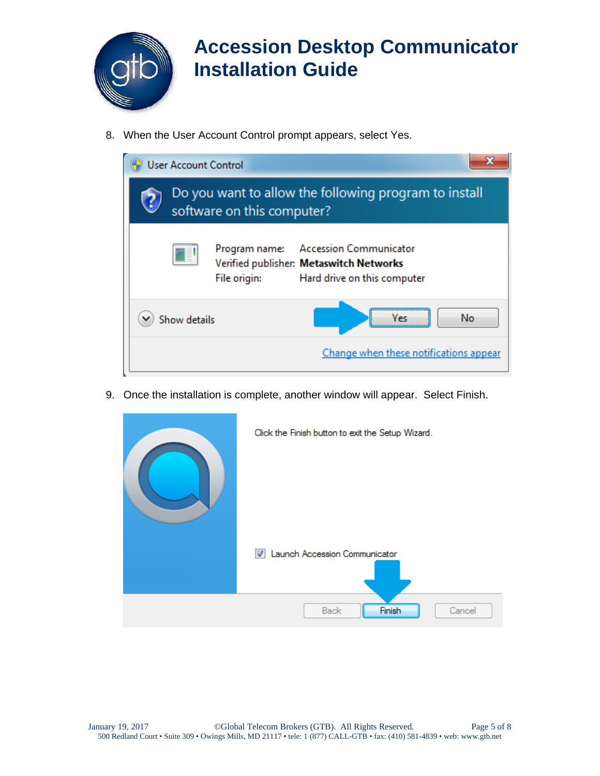

8. When the User Account Control prompt appears, select Yes.



9. Once the installation is complete, another window will appear. Select Finish.

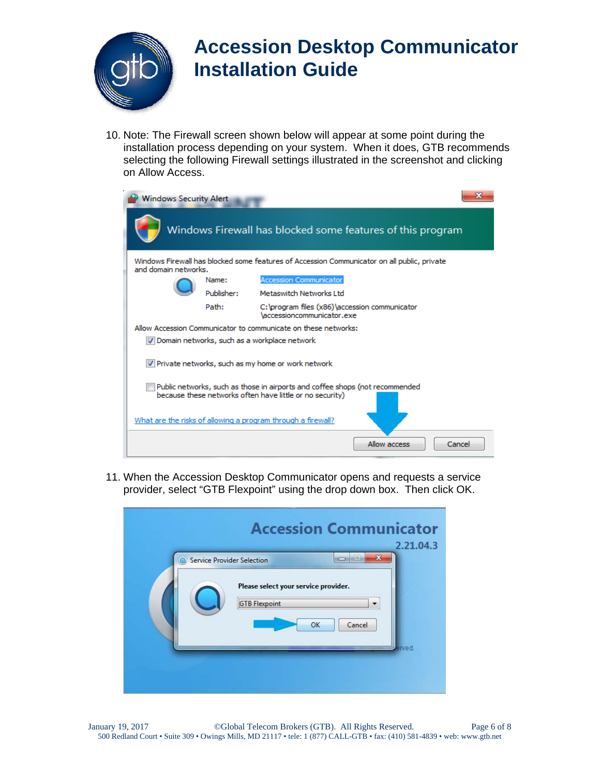

10. Note: The Firewall screen shown below will appear at some point during the installation process depending on your system. When it does, GTB recommends selecting the following Firewall settings illustrated in the screenshot and clicking on Allow Access.

| <b>Windows Security Alert</b> |            |                                                                                                                                          |  |
|-------------------------------|------------|------------------------------------------------------------------------------------------------------------------------------------------|--|
|                               |            | Windows Firewall has blocked some features of this program                                                                               |  |
| and domain networks.          |            | Windows Firewall has blocked some features of Accession Communicator on all public, private                                              |  |
|                               | Name:      | <b>Accession Communicator</b>                                                                                                            |  |
|                               | Publisher: | Metaswitch Networks Ltd.                                                                                                                 |  |
|                               | Path:      | C: \program files (x86) \accession communicator<br>\accessioncommunicator.exe                                                            |  |
|                               |            | Allow Accession Communicator to communicate on these networks:                                                                           |  |
|                               |            | √ Domain networks, such as a workplace network                                                                                           |  |
|                               |            | M Private networks, such as my home or work network                                                                                      |  |
|                               |            | Public networks, such as those in airports and coffee shops (not recommended<br>because these networks often have little or no security) |  |
|                               |            | What are the risks of allowing a program through a firewall?                                                                             |  |
|                               |            | Allow access<br>Cancel                                                                                                                   |  |

11. When the Accession Desktop Communicator opens and requests a service provider, select "GTB Flexpoint" using the drop down box. Then click OK.

| Service Provider Selection |                                                              | ≕      | 2.21.04.3 |
|----------------------------|--------------------------------------------------------------|--------|-----------|
|                            | Please select your service provider.<br><b>GTB</b> Flexpoint |        |           |
|                            | OK                                                           | Cancel |           |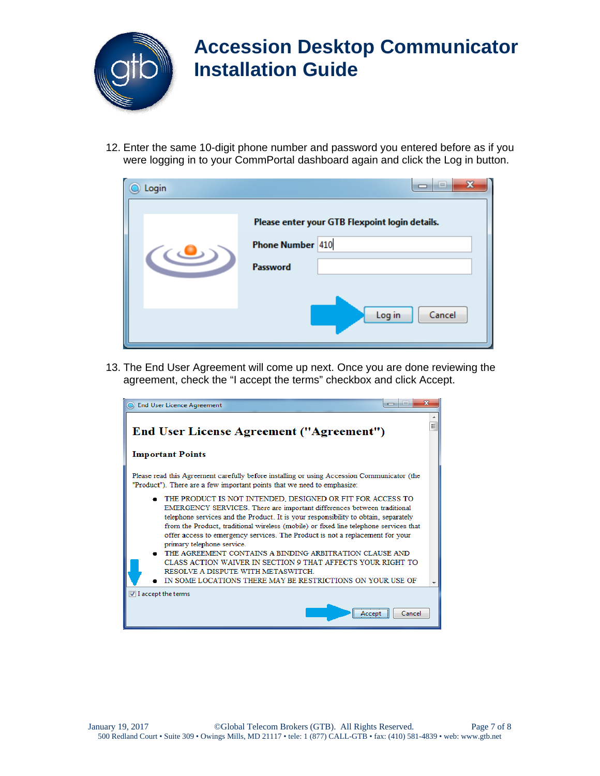

12. Enter the same 10-digit phone number and password you entered before as if you were logging in to your CommPortal dashboard again and click the Log in button.

| Login | x<br>lш                                                                        |
|-------|--------------------------------------------------------------------------------|
|       | Please enter your GTB Flexpoint login details.<br>Phone Number 410<br>Password |
|       | Log in<br>Cancel                                                               |

13. The End User Agreement will come up next. Once you are done reviewing the agreement, check the "I accept the terms" checkbox and click Accept.